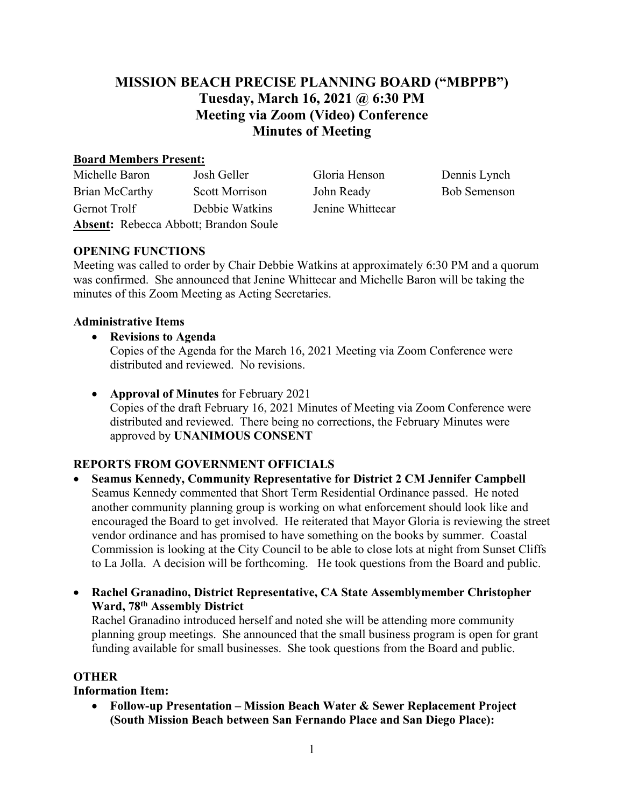# **MISSION BEACH PRECISE PLANNING BOARD ("MBPPB") Tuesday, March 16, 2021 @ 6:30 PM Meeting via Zoom (Video) Conference Minutes of Meeting**

#### **Board Members Present:**

| Michelle Baron                               | Josh Geller           | Gloria Henson    | Dennis Lynch        |
|----------------------------------------------|-----------------------|------------------|---------------------|
| Brian McCarthy                               | <b>Scott Morrison</b> | John Ready       | <b>Bob Semenson</b> |
| Gernot Trolf                                 | Debbie Watkins        | Jenine Whittecar |                     |
| <b>Absent:</b> Rebecca Abbott; Brandon Soule |                       |                  |                     |

## **OPENING FUNCTIONS**

Meeting was called to order by Chair Debbie Watkins at approximately 6:30 PM and a quorum was confirmed. She announced that Jenine Whittecar and Michelle Baron will be taking the minutes of this Zoom Meeting as Acting Secretaries.

### **Administrative Items**

- **Revisions to Agenda**  Copies of the Agenda for the March 16, 2021 Meeting via Zoom Conference were distributed and reviewed. No revisions.
- **Approval of Minutes** for February 2021 Copies of the draft February 16, 2021 Minutes of Meeting via Zoom Conference were distributed and reviewed. There being no corrections, the February Minutes were approved by **UNANIMOUS CONSENT**

## **REPORTS FROM GOVERNMENT OFFICIALS**

- **Seamus Kennedy, Community Representative for District 2 CM Jennifer Campbell** Seamus Kennedy commented that Short Term Residential Ordinance passed. He noted another community planning group is working on what enforcement should look like and encouraged the Board to get involved. He reiterated that Mayor Gloria is reviewing the street vendor ordinance and has promised to have something on the books by summer. Coastal Commission is looking at the City Council to be able to close lots at night from Sunset Cliffs to La Jolla. A decision will be forthcoming. He took questions from the Board and public.
- **Rachel Granadino, District Representative, CA State Assemblymember Christopher Ward, 78th Assembly District**

Rachel Granadino introduced herself and noted she will be attending more community planning group meetings. She announced that the small business program is open for grant funding available for small businesses. She took questions from the Board and public.

#### **OTHER**

**Information Item:**

• **Follow-up Presentation – Mission Beach Water & Sewer Replacement Project (South Mission Beach between San Fernando Place and San Diego Place):**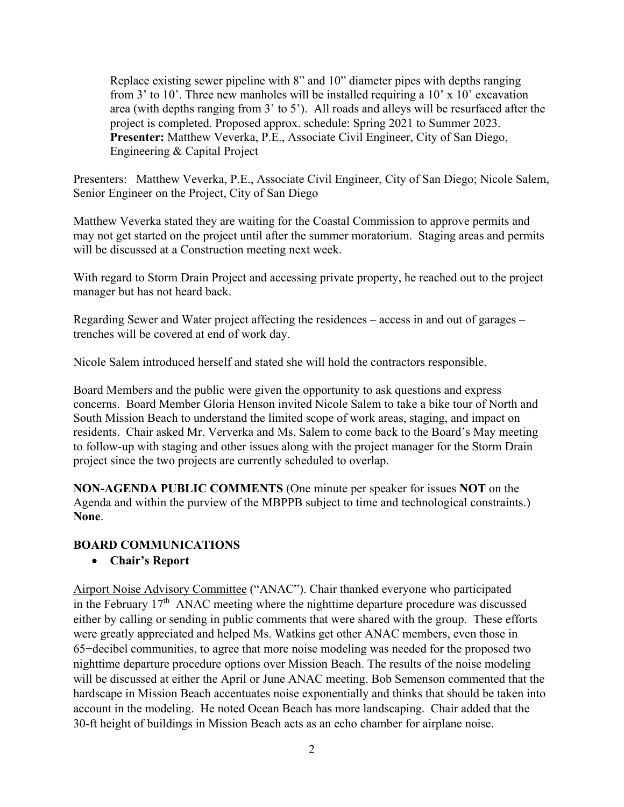Replace existing sewer pipeline with 8" and 10" diameter pipes with depths ranging from 3' to 10'. Three new manholes will be installed requiring a 10' x 10' excavation area (with depths ranging from 3' to 5'). All roads and alleys will be resurfaced after the project is completed. Proposed approx. schedule: Spring 2021 to Summer 2023. **Presenter:** Matthew Veverka, P.E., Associate Civil Engineer, City of San Diego, Engineering & Capital Project

Presenters: Matthew Veverka, P.E., Associate Civil Engineer, City of San Diego; Nicole Salem, Senior Engineer on the Project, City of San Diego

Matthew Veverka stated they are waiting for the Coastal Commission to approve permits and may not get started on the project until after the summer moratorium. Staging areas and permits will be discussed at a Construction meeting next week.

With regard to Storm Drain Project and accessing private property, he reached out to the project manager but has not heard back.

Regarding Sewer and Water project affecting the residences – access in and out of garages – trenches will be covered at end of work day.

Nicole Salem introduced herself and stated she will hold the contractors responsible.

Board Members and the public were given the opportunity to ask questions and express concerns. Board Member Gloria Henson invited Nicole Salem to take a bike tour of North and South Mission Beach to understand the limited scope of work areas, staging, and impact on residents. Chair asked Mr. Ververka and Ms. Salem to come back to the Board's May meeting to follow-up with staging and other issues along with the project manager for the Storm Drain project since the two projects are currently scheduled to overlap.

**NON-AGENDA PUBLIC COMMENTS** (One minute per speaker for issues **NOT** on the Agenda and within the purview of the MBPPB subject to time and technological constraints.) **None**.

#### **BOARD COMMUNICATIONS**

#### • **Chair's Report**

Airport Noise Advisory Committee ("ANAC"). Chair thanked everyone who participated in the February  $17<sup>th</sup>$  ANAC meeting where the nighttime departure procedure was discussed either by calling or sending in public comments that were shared with the group. These efforts were greatly appreciated and helped Ms. Watkins get other ANAC members, even those in 65+decibel communities, to agree that more noise modeling was needed for the proposed two nighttime departure procedure options over Mission Beach. The results of the noise modeling will be discussed at either the April or June ANAC meeting. Bob Semenson commented that the hardscape in Mission Beach accentuates noise exponentially and thinks that should be taken into account in the modeling. He noted Ocean Beach has more landscaping. Chair added that the 30-ft height of buildings in Mission Beach acts as an echo chamber for airplane noise.